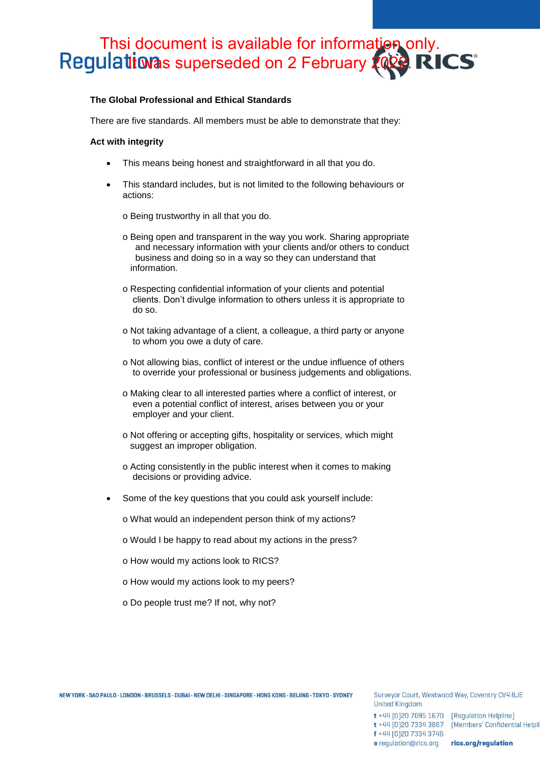# Thsi document is available for information only. Regulations superseded on 2 February 2022

#### **The Global Professional and Ethical Standards**

There are five standards. All members must be able to demonstrate that they:

#### **Act with integrity**

- This means being honest and straightforward in all that you do.
- This standard includes, but is not limited to the following behaviours or actions:

o Being trustworthy in all that you do.

- o Being open and transparent in the way you work. Sharing appropriate and necessary information with your clients and/or others to conduct business and doing so in a way so they can understand that information.
- o Respecting confidential information of your clients and potential clients. Don't divulge information to others unless it is appropriate to do so.
- o Not taking advantage of a client, a colleague, a third party or anyone to whom you owe a duty of care.
- o Not allowing bias, conflict of interest or the undue influence of others to override your professional or business judgements and obligations.
- o Making clear to all interested parties where a conflict of interest, or even a potential conflict of interest, arises between you or your employer and your client.
- o Not offering or accepting gifts, hospitality or services, which might suggest an improper obligation.
- o Acting consistently in the public interest when it comes to making decisions or providing advice.
- Some of the key questions that you could ask yourself include:

o What would an independent person think of my actions?

- o Would I be happy to read about my actions in the press?
- o How would my actions look to RICS?
- o How would my actions look to my peers?
- o Do people trust me? If not, why not?

NEW YORK - SAO PAULO - LONDON - BRUSSELS - DUBAI - NEW DELHI - SINGAPORE - HONG KONG - BEIJING - TOKYO - SYDNEY

Surveyor Court, Westwood Way, Coventry CV4 8JE **United Kingdom** 

 $t + 44$  [0] 20 7695 1670 [Requlation Helpline] f +44 [0] 20 7334 3746 e regulation@rics.org rics.org/regulation

t +44 [0]20 7334 3867 [Members' Confidential Helpli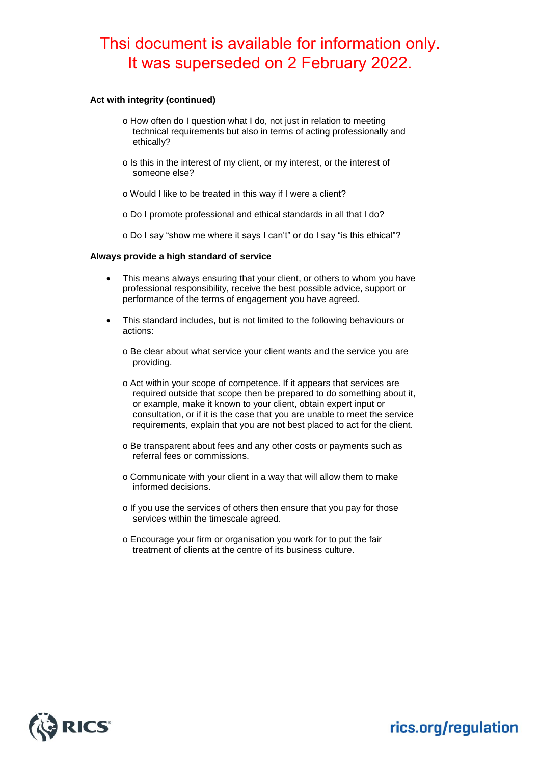#### **Act with integrity (continued)**

- o How often do I question what I do, not just in relation to meeting technical requirements but also in terms of acting professionally and ethically?
- o Is this in the interest of my client, or my interest, or the interest of someone else?
- o Would I like to be treated in this way if I were a client?
- o Do I promote professional and ethical standards in all that I do?
- o Do I say "show me where it says I can't" or do I say "is this ethical"?

#### **Always provide a high standard of service**

- This means always ensuring that your client, or others to whom you have professional responsibility, receive the best possible advice, support or performance of the terms of engagement you have agreed.
- This standard includes, but is not limited to the following behaviours or actions:
	- o Be clear about what service your client wants and the service you are providing.
	- o Act within your scope of competence. If it appears that services are required outside that scope then be prepared to do something about it, or example, make it known to your client, obtain expert input or consultation, or if it is the case that you are unable to meet the service requirements, explain that you are not best placed to act for the client.
	- o Be transparent about fees and any other costs or payments such as referral fees or commissions.
	- o Communicate with your client in a way that will allow them to make informed decisions.
	- o If you use the services of others then ensure that you pay for those services within the timescale agreed.
	- o Encourage your firm or organisation you work for to put the fair treatment of clients at the centre of its business culture.

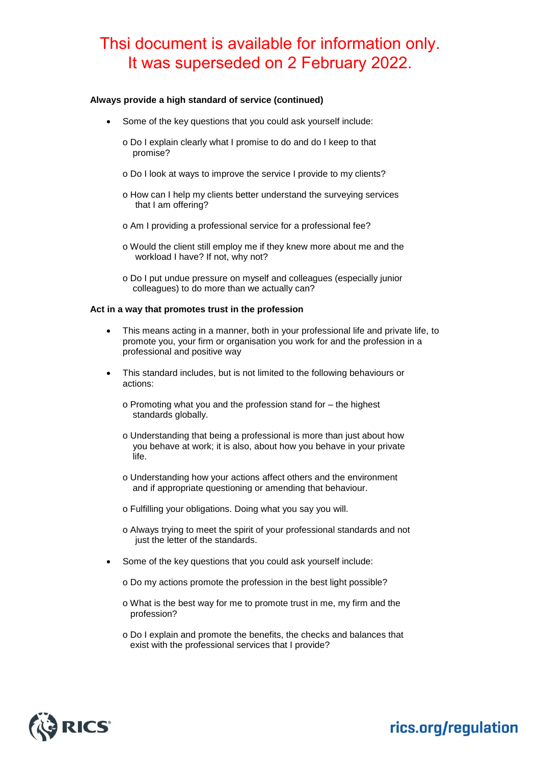#### **Always provide a high standard of service (continued)**

- Some of the key questions that you could ask yourself include:
	- o Do I explain clearly what I promise to do and do I keep to that promise?
	- o Do I look at ways to improve the service I provide to my clients?
	- o How can I help my clients better understand the surveying services that I am offering?
	- o Am I providing a professional service for a professional fee?
	- o Would the client still employ me if they knew more about me and the workload I have? If not, why not?
	- o Do I put undue pressure on myself and colleagues (especially junior colleagues) to do more than we actually can?

#### **Act in a way that promotes trust in the profession**

- This means acting in a manner, both in your professional life and private life, to promote you, your firm or organisation you work for and the profession in a professional and positive way
- This standard includes, but is not limited to the following behaviours or actions:
	- o Promoting what you and the profession stand for the highest standards globally.
	- o Understanding that being a professional is more than just about how you behave at work; it is also, about how you behave in your private life.
	- o Understanding how your actions affect others and the environment and if appropriate questioning or amending that behaviour.
	- o Fulfilling your obligations. Doing what you say you will.
	- o Always trying to meet the spirit of your professional standards and not just the letter of the standards.
- Some of the key questions that you could ask yourself include:
	- o Do my actions promote the profession in the best light possible?
	- o What is the best way for me to promote trust in me, my firm and the profession?
	- o Do I explain and promote the benefits, the checks and balances that exist with the professional services that I provide?

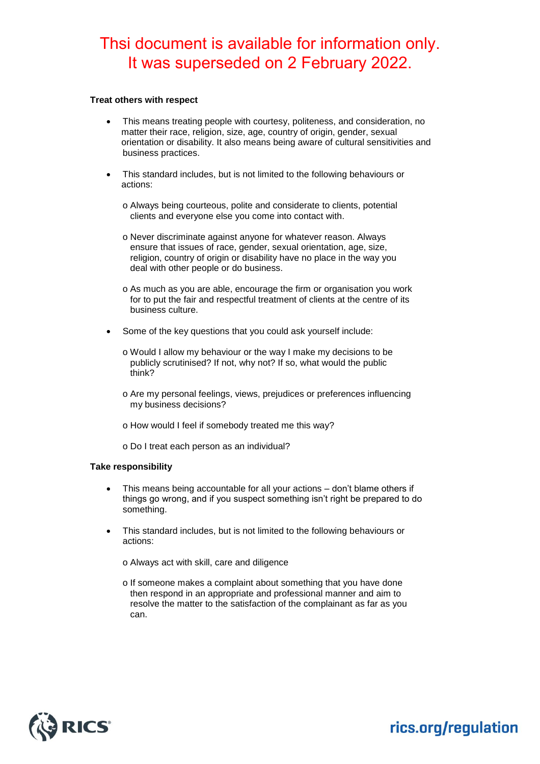#### **Treat others with respect**

- This means treating people with courtesy, politeness, and consideration, no matter their race, religion, size, age, country of origin, gender, sexual orientation or disability. It also means being aware of cultural sensitivities and business practices.
- This standard includes, but is not limited to the following behaviours or actions:
	- o Always being courteous, polite and considerate to clients, potential clients and everyone else you come into contact with.
	- o Never discriminate against anyone for whatever reason. Always ensure that issues of race, gender, sexual orientation, age, size, religion, country of origin or disability have no place in the way you deal with other people or do business.
	- o As much as you are able, encourage the firm or organisation you work for to put the fair and respectful treatment of clients at the centre of its business culture.
- Some of the key questions that you could ask yourself include:
	- o Would I allow my behaviour or the way I make my decisions to be publicly scrutinised? If not, why not? If so, what would the public think?
	- o Are my personal feelings, views, prejudices or preferences influencing my business decisions?
	- o How would I feel if somebody treated me this way?
	- o Do I treat each person as an individual?

#### **Take responsibility**

- This means being accountable for all your actions don't blame others if things go wrong, and if you suspect something isn't right be prepared to do something.
- This standard includes, but is not limited to the following behaviours or actions:
	- o Always act with skill, care and diligence
	- o If someone makes a complaint about something that you have done then respond in an appropriate and professional manner and aim to resolve the matter to the satisfaction of the complainant as far as you can.